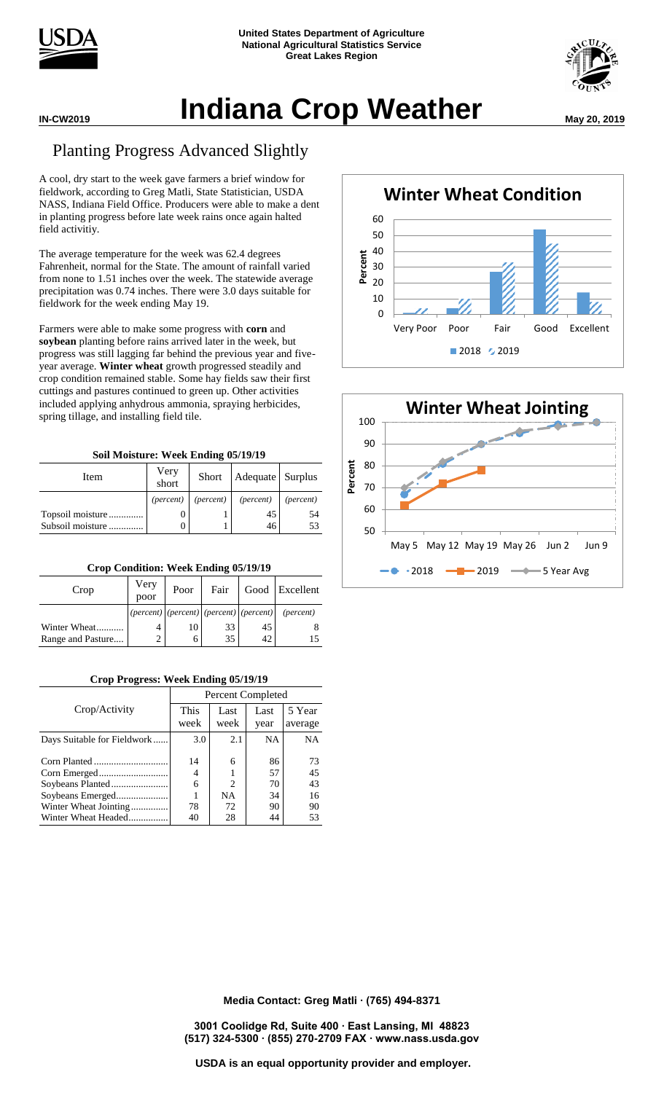



## **Indiana Crop Weather May 20, 2019**

## Planting Progress Advanced Slightly

A cool, dry start to the week gave farmers a brief window for fieldwork, according to Greg Matli, State Statistician, USDA NASS, Indiana Field Office. Producers were able to make a dent in planting progress before late week rains once again halted field activitiy.

The average temperature for the week was 62.4 degrees Fahrenheit, normal for the State. The amount of rainfall varied from none to 1.51 inches over the week. The statewide average precipitation was 0.74 inches. There were 3.0 days suitable for fieldwork for the week ending May 19.

Farmers were able to make some progress with **corn** and **soybean** planting before rains arrived later in the week, but progress was still lagging far behind the previous year and fiveyear average. **Winter wheat** growth progressed steadily and crop condition remained stable. Some hay fields saw their first cuttings and pastures continued to green up. Other activities included applying anhydrous ammonia, spraying herbicides, spring tillage, and installing field tile.

| Soil Moisture: Week Ending 05/19/19 |  |  |
|-------------------------------------|--|--|
|                                     |  |  |

| Item             | Very<br>short      | Short              | Adequate Surplus |                    |  |  |
|------------------|--------------------|--------------------|------------------|--------------------|--|--|
|                  | ( <i>percent</i> ) | ( <i>percent</i> ) | (percent)        | ( <i>percent</i> ) |  |  |
| Topsoil moisture |                    |                    | 45               | .54                |  |  |
| Subsoil moisture |                    |                    | 46               | 53                 |  |  |

| Crop Condition. Week Ending 03/17/17 |              |                                           |      |    |                    |  |  |  |  |
|--------------------------------------|--------------|-------------------------------------------|------|----|--------------------|--|--|--|--|
| Crop                                 | Very<br>poor | Poor                                      | Fair |    | Good Excellent     |  |  |  |  |
|                                      |              | $(percent)$ (percent) (percent) (percent) |      |    | ( <i>percent</i> ) |  |  |  |  |
| Winter Wheat                         |              | 10                                        | 33   | 45 |                    |  |  |  |  |
| Range and Pasture                    | 2            | 6                                         | 35   | 42 |                    |  |  |  |  |

**Crop Condition: Week Ending 05/19/19**

## **Crop Progress: Week Ending 05/19/19**

|                             | Percent Completed   |                             |              |                   |  |  |  |  |  |
|-----------------------------|---------------------|-----------------------------|--------------|-------------------|--|--|--|--|--|
| Crop/Activity               | <b>This</b><br>week | Last<br>week                | Last<br>year | 5 Year<br>average |  |  |  |  |  |
| Days Suitable for Fieldwork | 3.0                 | 2.1                         | <b>NA</b>    | <b>NA</b>         |  |  |  |  |  |
|                             | 14                  | 6                           | 86           | 73                |  |  |  |  |  |
|                             | 4                   |                             | 57           | 45                |  |  |  |  |  |
|                             | 6                   | $\mathcal{D}_{\mathcal{L}}$ | 70           | 43                |  |  |  |  |  |
|                             |                     | <b>NA</b>                   | 34           | 16                |  |  |  |  |  |
| Winter Wheat Jointing       | 78                  | 72                          | 90           | 90                |  |  |  |  |  |
| Winter Wheat Headed         | 40                  | 28                          | 44           | 53                |  |  |  |  |  |





**Media Contact: Greg Matli ∙ (765) 494-8371**

**3001 Coolidge Rd, Suite 400 ∙ East Lansing, MI 48823 (517) 324-5300 ∙ (855) 270-2709 FAX ∙ www.nass.usda.gov**

**USDA is an equal opportunity provider and employer.**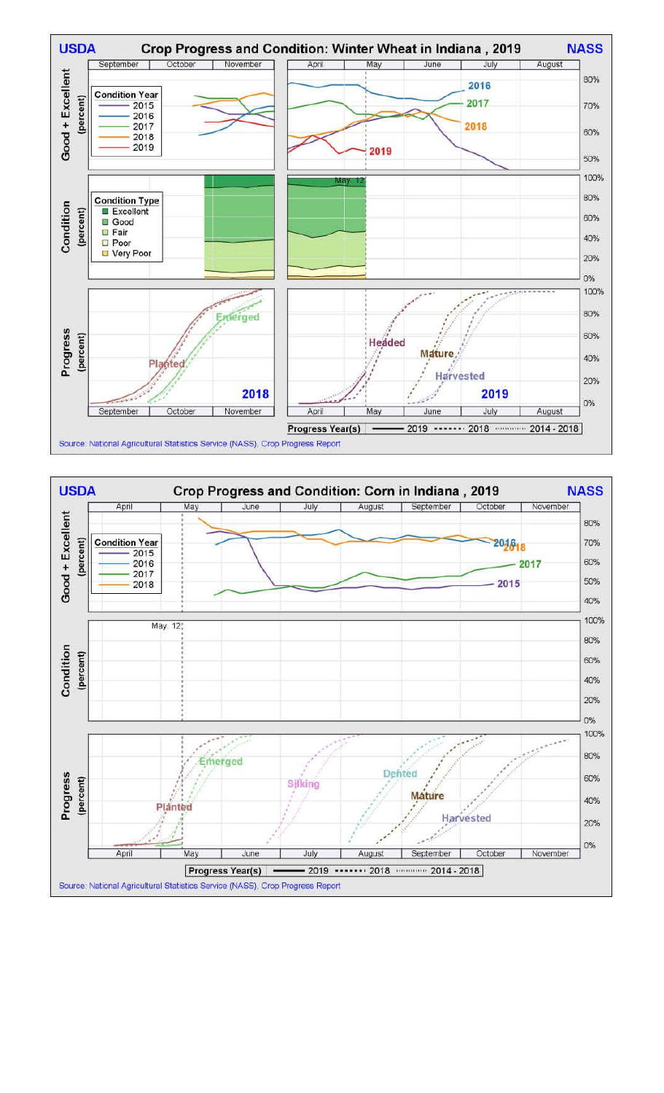